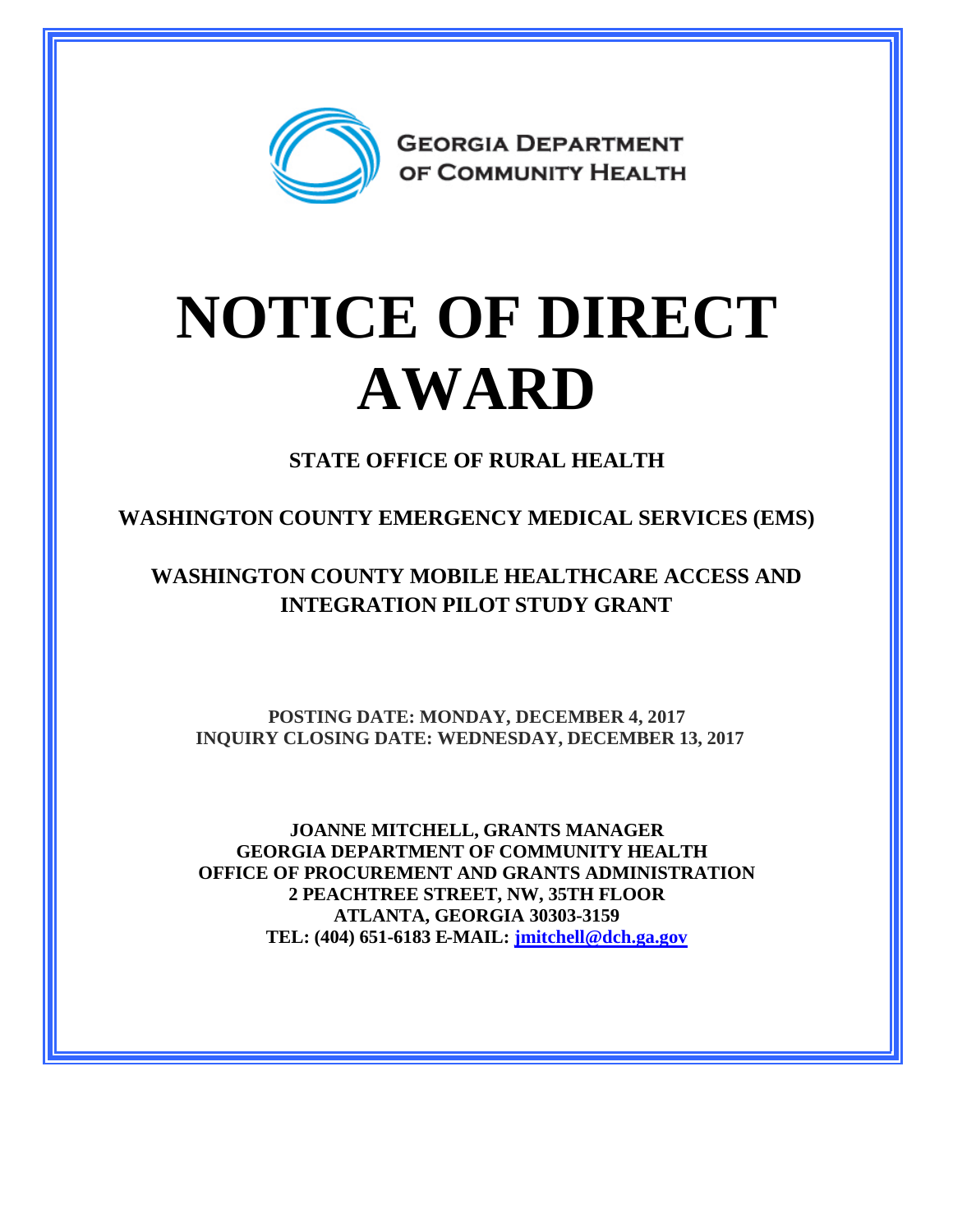

## **NOTICE OF DIRECT AWARD**

**STATE OFFICE OF RURAL HEALTH**

**WASHINGTON COUNTY EMERGENCY MEDICAL SERVICES (EMS)**

**WASHINGTON COUNTY MOBILE HEALTHCARE ACCESS AND INTEGRATION PILOT STUDY GRANT**

**POSTING DATE: MONDAY, DECEMBER 4, 2017 INQUIRY CLOSING DATE: WEDNESDAY, DECEMBER 13, 2017**

**JOANNE MITCHELL, GRANTS MANAGER GEORGIA DEPARTMENT OF COMMUNITY HEALTH OFFICE OF PROCUREMENT AND GRANTS ADMINISTRATION 2 PEACHTREE STREET, NW, 35TH FLOOR ATLANTA, GEORGIA 30303-3159 TEL: (404) 651-6183 E-MAIL: [jmitchell@dch.ga.gov](mailto:jmitchell@dch.ga.gov)**